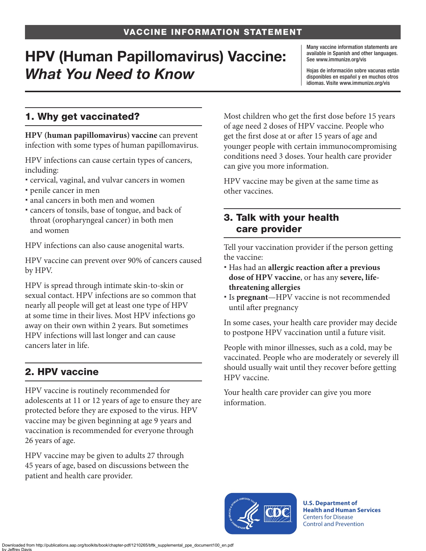# HPV (Human Papillomavirus) Vaccine: *What You Need to Know*

Many vaccine information statements are available in Spanish and other languages. See [www.immunize.org/vis](http://www.immunize.org/vis)

Hojas de información sobre vacunas están disponibles en español y en muchos otros idiomas. Visite [www.immunize.org/vis](http://www.immunize.org/vis)

## 1. Why get vaccinated?

**HPV (human papillomavirus) vaccine** can prevent infection with some types of human papillomavirus.

HPV infections can cause certain types of cancers, including:

- cervical, vaginal, and vulvar cancers in women
- penile cancer in men
- anal cancers in both men and women
- cancers of tonsils, base of tongue, and back of throat (oropharyngeal cancer) in both men and women

HPV infections can also cause anogenital warts.

HPV vaccine can prevent over 90% of cancers caused by HPV.

HPV is spread through intimate skin-to-skin or sexual contact. HPV infections are so common that nearly all people will get at least one type of HPV at some time in their lives. Most HPV infections go away on their own within 2 years. But sometimes HPV infections will last longer and can cause cancers later in life.

# 2. HPV vaccine

HPV vaccine is routinely recommended for adolescents at 11 or 12 years of age to ensure they are protected before they are exposed to the virus. HPV vaccine may be given beginning at age 9 years and vaccination is recommended for everyone through 26 years of age.

HPV vaccine may be given to adults 27 through 45 years of age, based on discussions between the patient and health care provider.

Most children who get the first dose before 15 years of age need 2 doses of HPV vaccine. People who get the first dose at or after 15 years of age and younger people with certain immunocompromising conditions need 3 doses. Your health care provider can give you more information.

HPV vaccine may be given at the same time as other vaccines.

### 3. Talk with your health care provider

Tell your vaccination provider if the person getting the vaccine:

- Has had an **allergic reaction after a previous dose of HPV vaccine**, or has any **severe, lifethreatening allergies**
- Is **pregnant**—HPV vaccine is not recommended until after pregnancy

In some cases, your health care provider may decide to postpone HPV vaccination until a future visit.

People with minor illnesses, such as a cold, may be vaccinated. People who are moderately or severely ill should usually wait until they recover before getting HPV vaccine.

Your health care provider can give you more information.



**U.S. Department of Health and Human Services**  Centers for Disease Control and Prevention